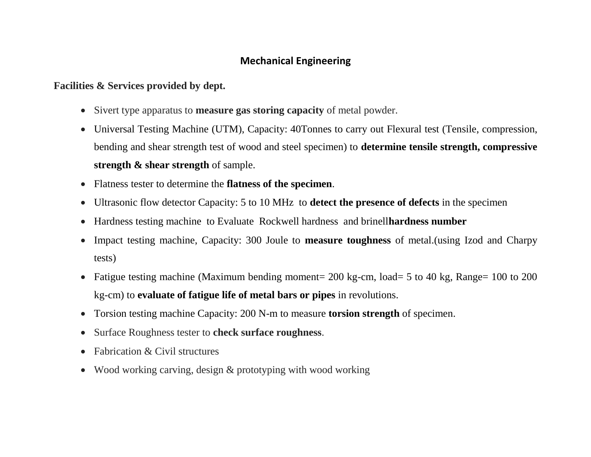## **Mechanical Engineering**

## **Facilities & Services provided by dept.**

- Sivert type apparatus to **measure gas storing capacity** of metal powder.
- Universal Testing Machine (UTM), Capacity: 40Tonnes to carry out Flexural test (Tensile, compression, bending and shear strength test of wood and steel specimen) to **determine tensile strength, compressive strength & shear strength** of sample.
- Flatness tester to determine the **flatness of the specimen**.
- Ultrasonic flow detector Capacity: 5 to 10 MHz to **detect the presence of defects** in the specimen
- Hardness testing machine to Evaluate Rockwell hardness and brinell**hardness number**
- Impact testing machine, Capacity: 300 Joule to **measure toughness** of metal.(using Izod and Charpy tests)
- Fatigue testing machine (Maximum bending moment=  $200 \text{ kg-cm}$ , load= 5 to 40 kg, Range= 100 to 200 kg-cm) to **evaluate of fatigue life of metal bars or pipes** in revolutions.
- Torsion testing machine Capacity: 200 N-m to measure **torsion strength** of specimen.
- Surface Roughness tester to **check surface roughness**.
- Fabrication & Civil structures
- Wood working carving, design & prototyping with wood working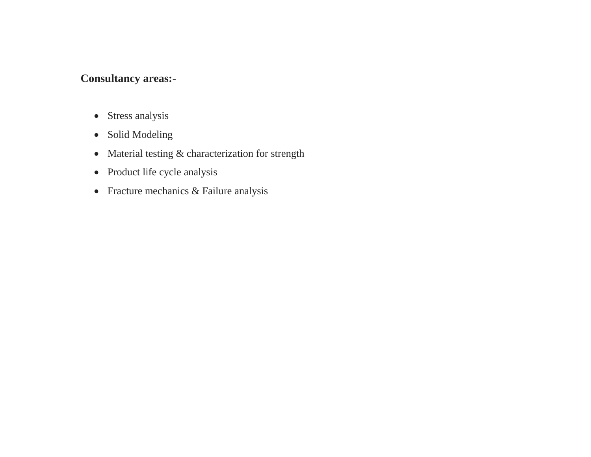## **Consultancy areas:-**

- Stress analysis
- Solid Modeling
- Material testing & characterization for strength
- Product life cycle analysis
- Fracture mechanics & Failure analysis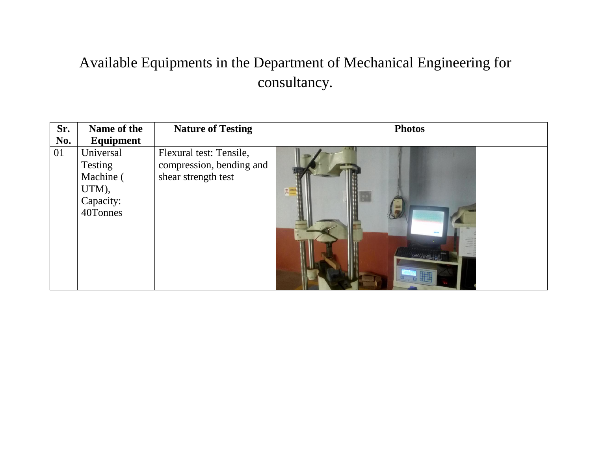## Available Equipments in the Department of Mechanical Engineering for consultancy.

| Sr. | Name of the                                                         | <b>Nature of Testing</b>                                                   | <b>Photos</b>                                                                                                                                                                                                                                                                                                                                                                                                                          |
|-----|---------------------------------------------------------------------|----------------------------------------------------------------------------|----------------------------------------------------------------------------------------------------------------------------------------------------------------------------------------------------------------------------------------------------------------------------------------------------------------------------------------------------------------------------------------------------------------------------------------|
| No. | Equipment                                                           |                                                                            |                                                                                                                                                                                                                                                                                                                                                                                                                                        |
| 01  | Universal<br>Testing<br>Machine (<br>UTM),<br>Capacity:<br>40Tonnes | Flexural test: Tensile,<br>compression, bending and<br>shear strength test | $\frac{1}{1-\frac{1}{1-\frac{1}{1-\frac{1}{1-\frac{1}{1-\frac{1}{1-\frac{1}{1-\frac{1}{1-\frac{1}{1-\frac{1}{1-\frac{1}{1-\frac{1}{1-\frac{1}{1-\frac{1}{1-\frac{1}{1-\frac{1}{1-\frac{1}{1-\frac{1}{1-\frac{1}{1-\frac{1}{1-\frac{1}{1-\frac{1}{1-\frac{1}{1-\frac{1}{1-\frac{1}{1-\frac{1}{1-\frac{1}{1-\frac{1}{1-\frac{1}{1-\frac{1}{1-\frac{1}{1-\frac{1}{1-\frac{1}{1-\frac{1}{1-\frac{1}{1-\frac{1}{1-\frac{1$<br><b>Separa</b> |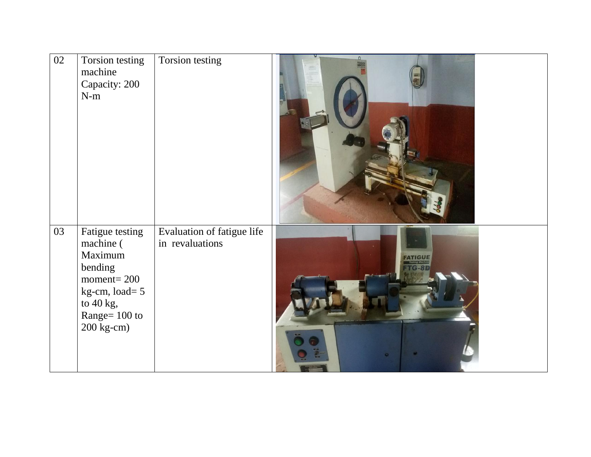| 02 | Torsion testing<br>machine<br>Capacity: 200<br>$N-m$                                                                                    | Torsion testing                               |  |
|----|-----------------------------------------------------------------------------------------------------------------------------------------|-----------------------------------------------|--|
| 03 | Fatigue testing<br>machine (<br>Maximum<br>bending<br>$moment = 200$<br>$kg-cm$ , load= 5<br>to 40 kg,<br>Range= 100 to<br>$200$ kg-cm) | Evaluation of fatigue life<br>in revaluations |  |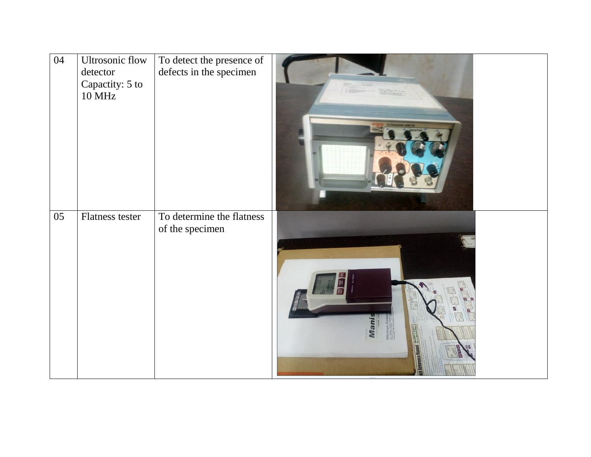| 04 | Ultrosonic flow<br>detector<br>Capactity: 5 to<br><b>10 MHz</b> | To detect the presence of<br>defects in the specimen | 1500  |
|----|-----------------------------------------------------------------|------------------------------------------------------|-------|
| 05 | Flatness tester                                                 | To determine the flatness<br>of the specimen         | Vlani |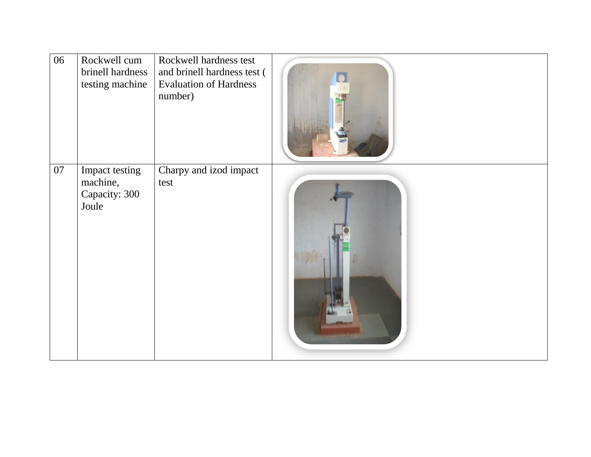| 06 | Rockwell cum<br>brinell hardness<br>testing machine  | Rockwell hardness test<br>and brinell hardness test (<br><b>Evaluation of Hardness</b><br>number) |  |
|----|------------------------------------------------------|---------------------------------------------------------------------------------------------------|--|
| 07 | Impact testing<br>machine,<br>Capacity: 300<br>Joule | Charpy and izod impact<br>test                                                                    |  |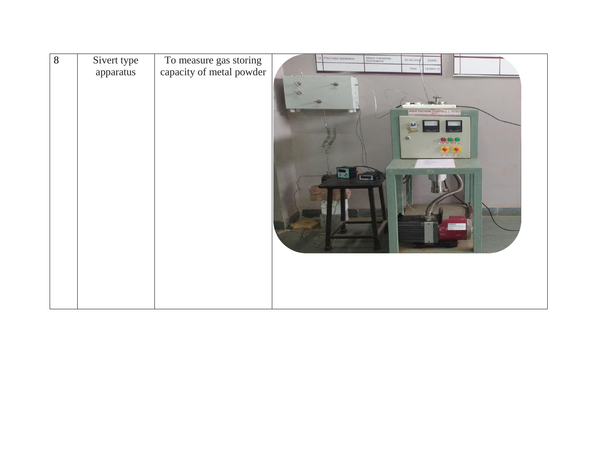| $\overline{8}$ | Sivert type<br>apparatus | To measure gas storing<br>capacity of metal powder | Pitot tube apparatus<br>Altech Industries,<br>Coimbatore<br>20.08.2006<br>22880<br>Total<br>193863.11 |
|----------------|--------------------------|----------------------------------------------------|-------------------------------------------------------------------------------------------------------|
|                |                          |                                                    | <b>HIGH VACUUM PUMPING SYSTEM</b>                                                                     |
|                |                          |                                                    | R6                                                                                                    |
|                |                          |                                                    | RP ON OP ON<br>$\blacksquare$<br>$\overline{\square}$                                                 |
|                |                          |                                                    |                                                                                                       |
|                |                          |                                                    |                                                                                                       |
|                |                          |                                                    |                                                                                                       |
|                |                          |                                                    |                                                                                                       |